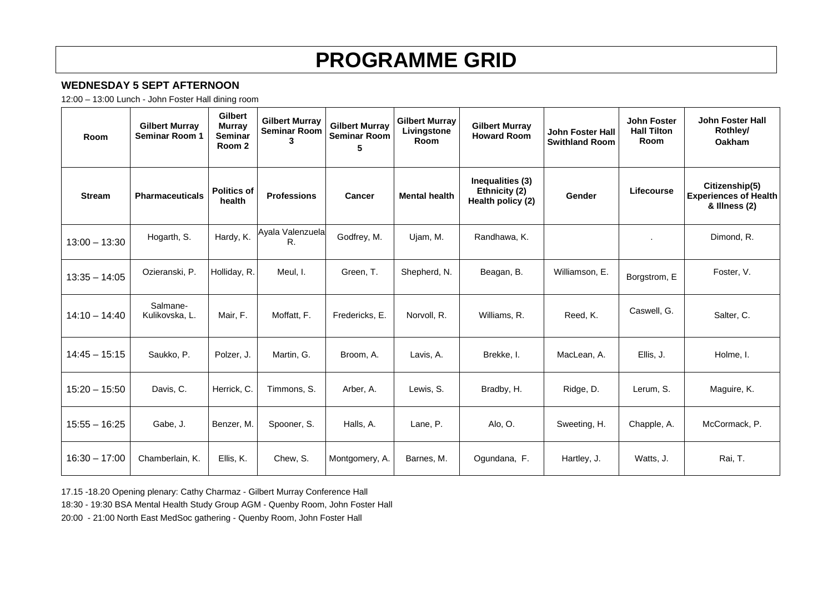# **PROGRAMME GRID**

## **WEDNESDAY 5 SEPT AFTERNOON**

12:00 – 13:00 Lunch - John Foster Hall dining room

| Room            | <b>Gilbert Murray</b><br><b>Seminar Room 1</b> | Gilbert<br><b>Murray</b><br>Seminar<br>Room 2 | <b>Gilbert Murray</b><br><b>Seminar Room</b><br>3 | <b>Gilbert Murray</b><br><b>Seminar Room</b><br>5 | <b>Gilbert Murray</b><br>Livingstone<br><b>Room</b> | <b>Gilbert Murray</b><br><b>Howard Room</b>            | <b>John Foster Hall</b><br><b>Swithland Room</b> | <b>John Foster</b><br><b>Hall Tilton</b><br><b>Room</b> | John Foster Hall<br>Rothley/<br><b>Oakham</b>                   |
|-----------------|------------------------------------------------|-----------------------------------------------|---------------------------------------------------|---------------------------------------------------|-----------------------------------------------------|--------------------------------------------------------|--------------------------------------------------|---------------------------------------------------------|-----------------------------------------------------------------|
| <b>Stream</b>   | <b>Pharmaceuticals</b>                         | <b>Politics of</b><br>health                  | <b>Professions</b>                                | <b>Cancer</b>                                     | <b>Mental health</b>                                | Inequalities (3)<br>Ethnicity (2)<br>Health policy (2) | Gender                                           | Lifecourse                                              | Citizenship(5)<br><b>Experiences of Health</b><br>& Illness (2) |
| $13:00 - 13:30$ | Hogarth, S.                                    | Hardy, K.                                     | Ayala Valenzuela<br>R.                            | Godfrey, M.                                       | Ujam, M.                                            | Randhawa, K.                                           |                                                  |                                                         | Dimond, R.                                                      |
| $13:35 - 14:05$ | Ozieranski, P.                                 | Holliday, R.                                  | Meul, I.                                          | Green, T.                                         | Shepherd, N.                                        | Beagan, B.                                             | Williamson, E.                                   | Borgstrom, E                                            | Foster, V.                                                      |
| $14:10 - 14:40$ | Salmane-<br>Kulikovska, L.                     | Mair, F.                                      | Moffatt, F.                                       | Fredericks, E.                                    | Norvoll, R.                                         | Williams, R.                                           | Reed, K.                                         | Caswell, G.                                             | Salter, C.                                                      |
| $14:45 - 15:15$ | Saukko, P.                                     | Polzer, J.                                    | Martin, G.                                        | Broom. A.                                         | Lavis, A.                                           | Brekke. I.                                             | MacLean, A.                                      | Ellis, J.                                               | Holme, I.                                                       |
| $15:20 - 15:50$ | Davis, C.                                      | Herrick, C.                                   | Timmons, S.                                       | Arber, A.                                         | Lewis, S.                                           | Bradby, H.                                             | Ridge, D.                                        | Lerum, S.                                               | Maguire, K.                                                     |
| $15:55 - 16:25$ | Gabe, J.                                       | Benzer, M.                                    | Spooner, S.                                       | Halls, A.                                         | Lane, P.                                            | Alo, O.                                                | Sweeting, H.                                     | Chapple, A.                                             | McCormack, P.                                                   |
| $16:30 - 17:00$ | Chamberlain, K.                                | Ellis, K.                                     | Chew, S.                                          | Montgomery, A.                                    | Barnes, M.                                          | Ogundana, F.                                           | Hartley, J.                                      | Watts, J.                                               | Rai, T.                                                         |

17.15 -18.20 Opening plenary: Cathy Charmaz - Gilbert Murray Conference Hall

18:30 - 19:30 BSA Mental Health Study Group AGM - Quenby Room, John Foster Hall

20:00 - 21:00 North East MedSoc gathering - Quenby Room, John Foster Hall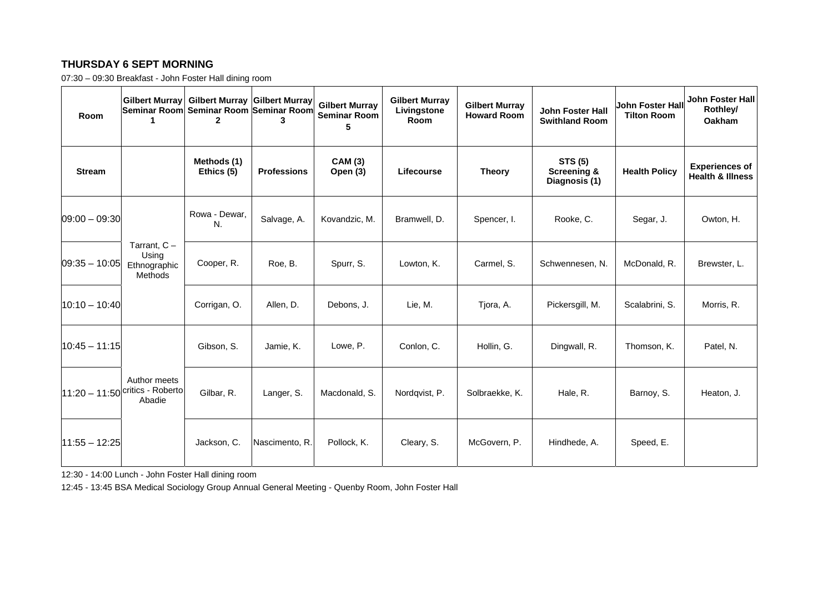## **THURSDAY 6 SEPT MORNING**

07:30 – 09:30 Breakfast - John Foster Hall dining room

| Room            | <b>Gilbert Murray</b>                                         | Gilbert Murray Gilbert Murray<br>Seminar Room Seminar Room Seminar Room |                    | <b>Gilbert Murray</b><br><b>Seminar Room</b><br>5 | <b>Gilbert Murray</b><br>Livingstone<br>Room | <b>Gilbert Murray</b><br><b>Howard Room</b> | John Foster Hall<br><b>Swithland Room</b>                 | John Foster Hall<br><b>Tilton Room</b> | <b>John Foster Hall</b><br>Rothley/<br>Oakham        |
|-----------------|---------------------------------------------------------------|-------------------------------------------------------------------------|--------------------|---------------------------------------------------|----------------------------------------------|---------------------------------------------|-----------------------------------------------------------|----------------------------------------|------------------------------------------------------|
| <b>Stream</b>   |                                                               | Methods (1)<br>Ethics (5)                                               | <b>Professions</b> | <b>CAM (3)</b><br>Open (3)                        | Lifecourse                                   | <b>Theory</b>                               | <b>STS (5)</b><br><b>Screening &amp;</b><br>Diagnosis (1) | <b>Health Policy</b>                   | <b>Experiences of</b><br><b>Health &amp; Illness</b> |
| $09:00 - 09:30$ |                                                               | Rowa - Dewar.<br>N.                                                     | Salvage, A.        | Kovandzic, M.                                     | Bramwell, D.                                 | Spencer, I.                                 | Rooke, C.                                                 | Segar, J.                              | Owton, H.                                            |
| $09:35 - 10:05$ | Tarrant, $C -$<br>Using<br>Ethnographic<br>Methods            | Cooper, R.                                                              | Roe, B.            | Spurr, S.                                         | Lowton, K.                                   | Carmel, S.                                  | Schwennesen, N.                                           | McDonald, R.                           | Brewster, L.                                         |
| $10:10 - 10:40$ |                                                               | Corrigan, O.                                                            | Allen, D.          | Debons, J.                                        | Lie, M.                                      | Tjora, A.                                   | Pickersgill, M.                                           | Scalabrini, S.                         | Morris, R.                                           |
| 10:45 - 11:15   |                                                               | Gibson, S.                                                              | Jamie, K.          | Lowe, P.                                          | Conlon, C.                                   | Hollin, G.                                  | Dingwall, R.                                              | Thomson, K.                            | Patel, N.                                            |
|                 | Author meets<br>$ 11:20 - 11:50 $ critics - Roberto<br>Abadie | Gilbar, R.                                                              | Langer, S.         | Macdonald, S.                                     | Nordqvist, P.                                | Solbraekke, K.                              | Hale, R.                                                  | Barnoy, S.                             | Heaton, J.                                           |
| $11:55 - 12:25$ |                                                               | Jackson, C.                                                             | Nascimento, R.     | Pollock, K.                                       | Cleary, S.                                   | McGovern, P.                                | Hindhede, A.                                              | Speed, E.                              |                                                      |

12:30 - 14:00 Lunch - John Foster Hall dining room

12:45 - 13:45 BSA Medical Sociology Group Annual General Meeting - Quenby Room, John Foster Hall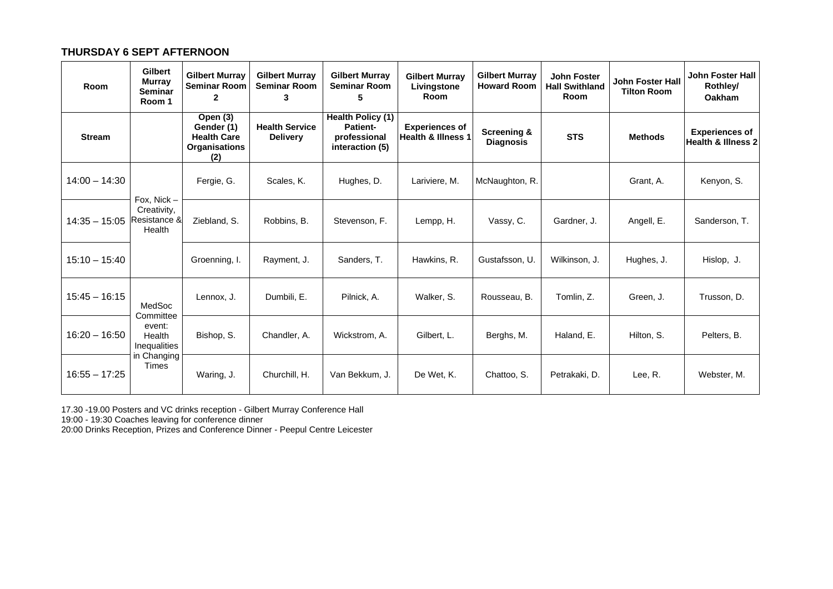#### **THURSDAY 6 SEPT AFTERNOON**

| Room            | Gilbert<br><b>Murray</b><br><b>Seminar</b><br>Room 1                            | <b>Gilbert Murray</b><br><b>Seminar Room</b><br>$\mathbf{2}$                | <b>Gilbert Murray</b><br><b>Seminar Room</b><br>3 | <b>Gilbert Murray</b><br><b>Seminar Room</b><br>5                | <b>Gilbert Murray</b><br>Livingstone<br>Room | <b>Gilbert Murray</b><br><b>Howard Room</b> | <b>John Foster</b><br><b>Hall Swithland</b><br>Room | John Foster Hall<br><b>Tilton Room</b> | <b>John Foster Hall</b><br>Rothley/<br><b>Oakham</b>   |
|-----------------|---------------------------------------------------------------------------------|-----------------------------------------------------------------------------|---------------------------------------------------|------------------------------------------------------------------|----------------------------------------------|---------------------------------------------|-----------------------------------------------------|----------------------------------------|--------------------------------------------------------|
| <b>Stream</b>   |                                                                                 | Open (3)<br>Gender (1)<br><b>Health Care</b><br><b>Organisations</b><br>(2) | <b>Health Service</b><br><b>Delivery</b>          | Health Policy (1)<br>Patient-<br>professional<br>interaction (5) | <b>Experiences of</b><br>Health & Illness 1  | <b>Screening &amp;</b><br><b>Diagnosis</b>  | <b>STS</b>                                          | <b>Methods</b>                         | <b>Experiences of</b><br><b>Health &amp; Illness 2</b> |
| $14:00 - 14:30$ |                                                                                 | Fergie, G.                                                                  | Scales, K.                                        | Hughes, D.                                                       | Lariviere, M.                                | McNaughton, R.                              |                                                     | Grant, A.                              | Kenyon, S.                                             |
| $14:35 - 15:05$ | Fox. Nick $-$<br>Creativity,<br>Resistance &<br>Health                          | Ziebland, S.                                                                | Robbins, B.                                       | Stevenson, F.                                                    | Lempp, H.                                    | Vassy, C.                                   | Gardner, J.                                         | Angell, E.                             | Sanderson, T.                                          |
| $15:10 - 15:40$ |                                                                                 | Groenning, I.                                                               | Rayment, J.                                       | Sanders, T.                                                      | Hawkins, R.                                  | Gustafsson, U.                              | Wilkinson, J.                                       | Hughes, J.                             | Hislop, J.                                             |
| $15:45 - 16:15$ | MedSoc<br>Committee<br>event:<br>Health<br>Inequalities<br>in Changing<br>Times | Lennox, J.                                                                  | Dumbili. E.                                       | Pilnick, A.                                                      | Walker, S.                                   | Rousseau, B.                                | Tomlin. Z.                                          | Green, J.                              | Trusson, D.                                            |
| $16:20 - 16:50$ |                                                                                 | Bishop, S.                                                                  | Chandler, A.                                      | Wickstrom, A.                                                    | Gilbert, L.                                  | Berghs, M.                                  | Haland, E.                                          | Hilton, S.                             | Pelters, B.                                            |
| $16:55 - 17:25$ |                                                                                 | Waring, J.                                                                  | Churchill, H.                                     | Van Bekkum, J.                                                   | De Wet, K.                                   | Chattoo, S.                                 | Petrakaki, D.                                       | Lee, R.                                | Webster, M.                                            |

17.30 -19.00 Posters and VC drinks reception - Gilbert Murray Conference Hall

19:00 - 19:30 Coaches leaving for conference dinner

20:00 Drinks Reception, Prizes and Conference Dinner - Peepul Centre Leicester